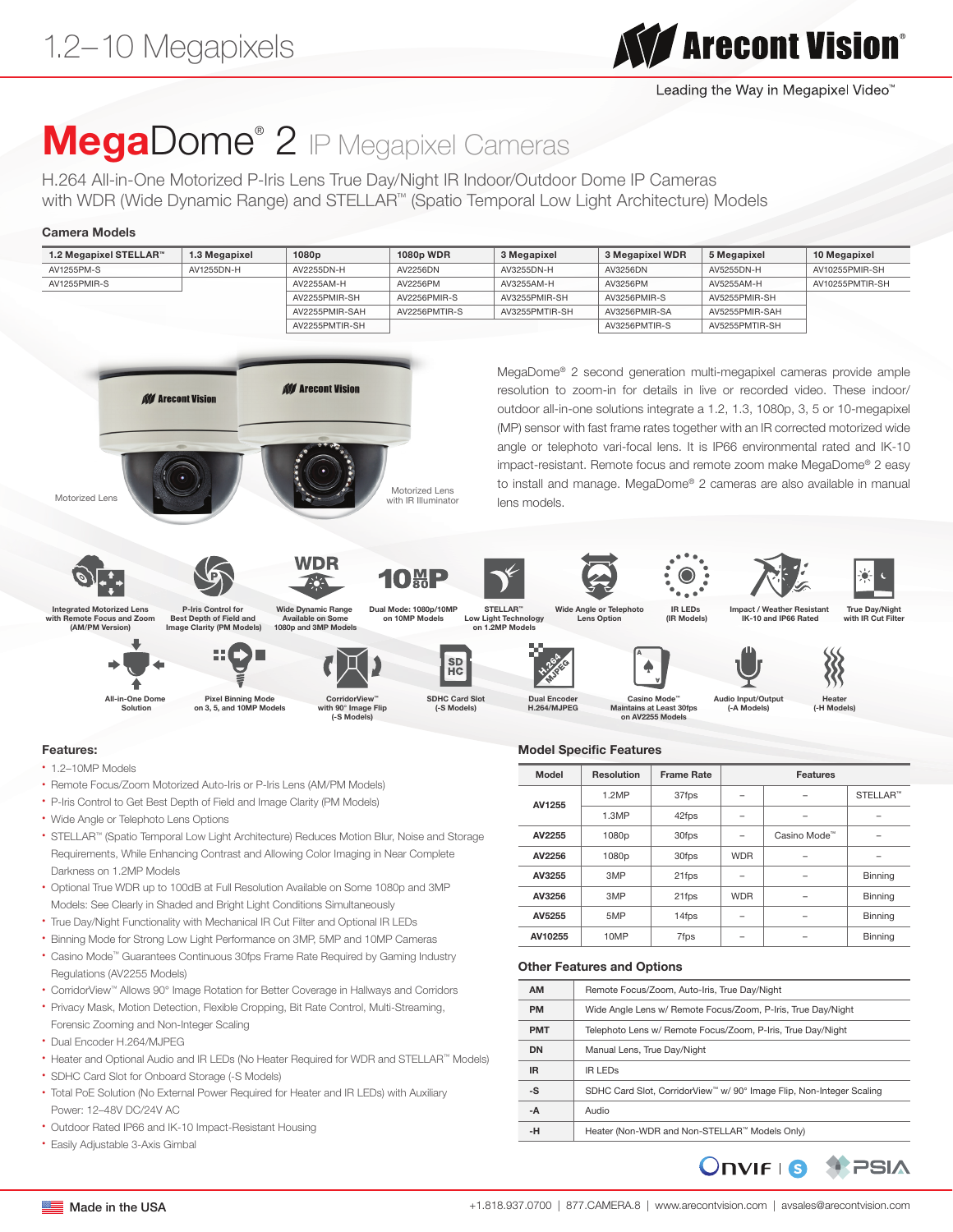# **The Automation**

Leading the Way in Megapixel Video™

## MegaDome<sup>®</sup> 2 IP Megapixel Cameras

H.264 All-in-One Motorized P-Iris Lens True Day/Night IR Indoor/Outdoor Dome IP Cameras with WDR (Wide Dynamic Range) and STELLAR™ (Spatio Temporal Low Light Architecture) Models

#### Camera Models

| 1.2 Megapixel STELLAR™ | 1.3 Megapixel | 1080 <sub>p</sub> | <b>1080p WDR</b> | 3 Megapixel    | 3 Megapixel WDR | 5 Megapixel    | 10 Megapixel    |
|------------------------|---------------|-------------------|------------------|----------------|-----------------|----------------|-----------------|
| AV1255PM-S             | AV1255DN-H    | AV2255DN-H        | AV2256DN         | AV3255DN-H     | AV3256DN        | AV5255DN-H     | AV10255PMIR-SH  |
| AV1255PMIR-S           |               | AV2255AM-H        | AV2256PM         | AV3255AM-H     | AV3256PM        | AV5255AM-H     | AV10255PMTIR-SH |
|                        |               | AV2255PMIR-SH     | AV2256PMIR-S     | AV3255PMIR-SH  | AV3256PMIR-S    | AV5255PMIR-SH  |                 |
|                        |               | AV2255PMIR-SAH    | AV2256PMTIR-S    | AV3255PMTIR-SH | AV3256PMIR-SA   | AV5255PMIR-SAH |                 |
|                        |               | AV2255PMTIR-SH    |                  |                | AV3256PMTIR-S   | AV5255PMTIR-SH |                 |



#### Features:

- 1.2–10MP Models
- Remote Focus/Zoom Motorized Auto-Iris or P-Iris Lens (AM/PM Models)
- P-Iris Control to Get Best Depth of Field and Image Clarity (PM Models)
- Wide Angle or Telephoto Lens Options
- STELLAR™ (Spatio Temporal Low Light Architecture) Reduces Motion Blur, Noise and Storage Requirements, While Enhancing Contrast and Allowing Color Imaging in Near Complete Darkness on 1.2MP Models
- Optional True WDR up to 100dB at Full Resolution Available on Some 1080p and 3MP Models: See Clearly in Shaded and Bright Light Conditions Simultaneously
- True Day/Night Functionality with Mechanical IR Cut Filter and Optional IR LEDs
- Binning Mode for Strong Low Light Performance on 3MP, 5MP and 10MP Cameras
- Casino Mode™ Guarantees Continuous 30fps Frame Rate Required by Gaming Industry Regulations (AV2255 Models)
- CorridorView™ Allows 90° Image Rotation for Better Coverage in Hallways and Corridors
- Privacy Mask, Motion Detection, Flexible Cropping, Bit Rate Control, Multi-Streaming, Forensic Zooming and Non-Integer Scaling
- Dual Encoder H.264/MJPEG
- Heater and Optional Audio and IR LEDs (No Heater Required for WDR and STELLAR™ Models)
- SDHC Card Slot for Onboard Storage (-S Models)
- Total PoE Solution (No External Power Required for Heater and IR LEDs) with Auxiliary Power: 12–48V DC/24V AC
- Outdoor Rated IP66 and IK-10 Impact-Resistant Housing
- Easily Adjustable 3-Axis Gimbal

|  | <b>MODEL SPECIFIC FEATURES</b> |  |
|--|--------------------------------|--|
|  |                                |  |

| Model   | <b>Resolution</b> | <b>Frame Rate</b> | <b>Features</b> |              |                |
|---------|-------------------|-------------------|-----------------|--------------|----------------|
| AV1255  | 1.2MP             | 37fps             |                 |              | STELLAR™       |
|         | 1.3MP             | 42fps             |                 |              |                |
| AV2255  | 1080p             | 30fps             |                 | Casino Mode™ |                |
| AV2256  | 1080p             | 30fps             | <b>WDR</b>      |              |                |
| AV3255  | 3MP               | 21fps             |                 |              | <b>Binning</b> |
| AV3256  | 3MP               | 21fps             | <b>WDR</b>      |              | <b>Binning</b> |
| AV5255  | 5MP               | 14fps             |                 |              | <b>Binning</b> |
| AV10255 | 10MP              | 7fps              |                 |              | <b>Binning</b> |

#### Other Features and Options

| <b>AM</b>  | Remote Focus/Zoom, Auto-Iris, True Day/Night                                     |  |  |  |  |  |
|------------|----------------------------------------------------------------------------------|--|--|--|--|--|
| <b>PM</b>  | Wide Angle Lens w/ Remote Focus/Zoom, P-Iris, True Day/Night                     |  |  |  |  |  |
| <b>PMT</b> | Telephoto Lens w/ Remote Focus/Zoom, P-Iris, True Day/Night                      |  |  |  |  |  |
| <b>DN</b>  | Manual Lens, True Day/Night                                                      |  |  |  |  |  |
| IR.        | <b>IR LEDS</b>                                                                   |  |  |  |  |  |
| -S         | SDHC Card Slot, CorridorView <sup>™</sup> w/ 90° Image Flip, Non-Integer Scaling |  |  |  |  |  |
| $-A$       | Audio                                                                            |  |  |  |  |  |
| -H         | Heater (Non-WDR and Non-STELLAR™ Models Only)                                    |  |  |  |  |  |



True Day/Night with IR Cut Filter

Heater (-H Models)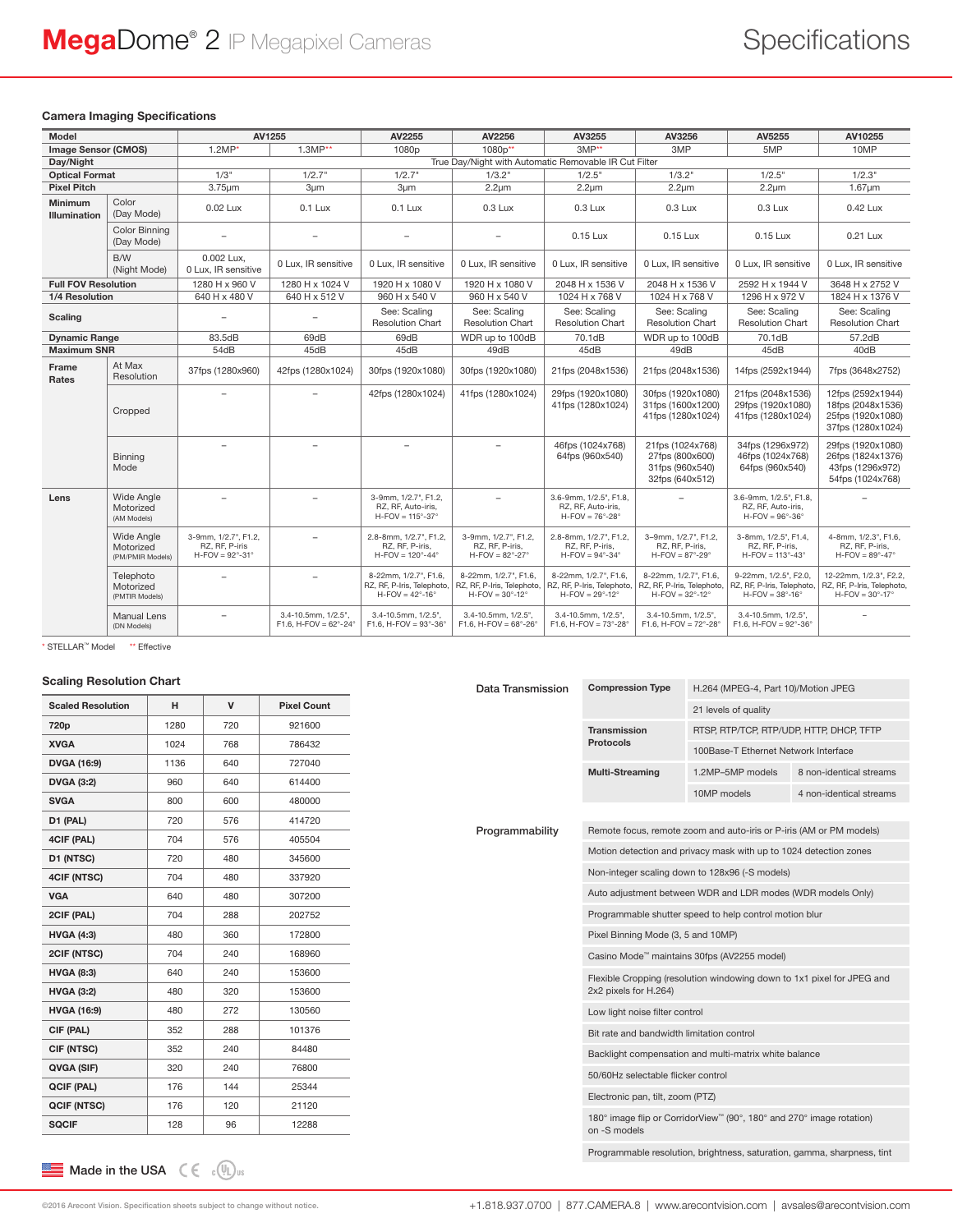#### Camera Imaging Specifications

| Model                      |                                                    | AV1255                                                                            |                                                        | AV2255                                                                             | AV2256                                                                             | AV3255                                                                                  | AV3256                                                                                   | AV5255                                                                                  | AV10255                                                                                   |
|----------------------------|----------------------------------------------------|-----------------------------------------------------------------------------------|--------------------------------------------------------|------------------------------------------------------------------------------------|------------------------------------------------------------------------------------|-----------------------------------------------------------------------------------------|------------------------------------------------------------------------------------------|-----------------------------------------------------------------------------------------|-------------------------------------------------------------------------------------------|
| <b>Image Sensor (CMOS)</b> |                                                    | $1.2MP*$                                                                          | $1.3MP**$                                              | 1080 <sub>p</sub>                                                                  | 1080p**                                                                            | $3MP**$                                                                                 | 3MP                                                                                      | 5MP                                                                                     | 10MP                                                                                      |
| Day/Night                  |                                                    |                                                                                   |                                                        |                                                                                    | True Day/Night with Automatic Removable IR Cut Filter                              |                                                                                         |                                                                                          |                                                                                         |                                                                                           |
| <b>Optical Format</b>      |                                                    | 1/3"                                                                              | 1/2.7"                                                 | 1/2.7"                                                                             | 1/3.2"                                                                             | 1/2.5"                                                                                  | $1/3.2$ "                                                                                | 1/2.5"                                                                                  | 1/2.3"                                                                                    |
| <b>Pixel Pitch</b>         |                                                    | 3.75um                                                                            | 3µm                                                    | $3 \mu m$                                                                          | $2.2 \mu m$                                                                        | $2.2 \mu m$                                                                             | $2.2 \mu m$                                                                              | $2.2 \mu m$                                                                             | 1.67um                                                                                    |
| Minimum<br>Illumination    | Color<br>(Dav Mode)                                | 0.02 Lux                                                                          | $0.1$ Lux                                              | $0.1$ Lux                                                                          | $0.3$ Lux                                                                          | $0.3$ Lux                                                                               | $0.3$ Lux                                                                                | $0.3$ Lux                                                                               | 0.42 Lux                                                                                  |
|                            | Color Binning<br>(Day Mode)                        |                                                                                   | $\equiv$                                               | $\overline{\phantom{0}}$                                                           | $\equiv$                                                                           | 0.15 Lux                                                                                | 0.15 Lux                                                                                 | 0.15 Lux                                                                                | 0.21 Lux                                                                                  |
|                            | B/W<br>(Night Mode)                                | 0.002 Lux,<br>0 Lux, IR sensitive                                                 | 0 Lux, IR sensitive                                    | 0 Lux. IR sensitive                                                                | 0 Lux. IR sensitive                                                                | 0 Lux. IR sensitive                                                                     | 0 Lux. IR sensitive                                                                      | 0 Lux. IR sensitive                                                                     | 0 Lux. IR sensitive                                                                       |
| <b>Full FOV Resolution</b> |                                                    | 1280 H x 960 V                                                                    | 1280 H x 1024 V                                        | 1920 H x 1080 V                                                                    | 1920 H x 1080 V                                                                    | 2048 H x 1536 V                                                                         | 2048 H x 1536 V                                                                          | 2592 H x 1944 V                                                                         | 3648 H x 2752 V                                                                           |
| 1/4 Resolution             |                                                    | 640 H x 480 V                                                                     | 640 H x 512 V                                          | 960 H x 540 V                                                                      | 960 H x 540 V                                                                      | 1024 H x 768 V                                                                          | 1024 H x 768 V                                                                           | 1296 H x 972 V                                                                          | 1824 H x 1376 V                                                                           |
| <b>Scaling</b>             |                                                    |                                                                                   | $\equiv$                                               | See: Scaling<br><b>Resolution Chart</b>                                            | See: Scaling<br><b>Resolution Chart</b>                                            | See: Scaling<br><b>Resolution Chart</b>                                                 | See: Scaling<br><b>Resolution Chart</b>                                                  | See: Scaling<br><b>Resolution Chart</b>                                                 | See: Scaling<br><b>Resolution Chart</b>                                                   |
| <b>Dynamic Range</b>       |                                                    | 83.5dB                                                                            | 69dB                                                   | 69dB                                                                               | WDR up to 100dB                                                                    | 70.1dB                                                                                  | WDR up to 100dB                                                                          | 70.1dB                                                                                  | 57.2dB                                                                                    |
| <b>Maximum SNR</b>         |                                                    | 54dB                                                                              | 45dB                                                   | 45dB                                                                               | 49dB                                                                               | 45dB                                                                                    | 49dB                                                                                     | 45dB                                                                                    | 40dB                                                                                      |
| Frame<br>Rates             | At Max<br>Resolution                               | 37fps (1280x960)                                                                  | 42fps (1280x1024)                                      | 30fps (1920x1080)                                                                  | 30fps (1920x1080)                                                                  | 21fps (2048x1536)                                                                       | 21fps (2048x1536)                                                                        | 14fps (2592x1944)                                                                       | 7fps (3648x2752)                                                                          |
|                            | Cropped                                            |                                                                                   |                                                        | 42fps (1280x1024)                                                                  | 41fps (1280x1024)                                                                  | 29fps (1920x1080)<br>41fps (1280x1024)                                                  | 30fps (1920x1080)<br>31fps (1600x1200)<br>41fps (1280x1024)                              | 21fps (2048x1536)<br>29fps (1920x1080)<br>41fps (1280x1024)                             | 12fps (2592x1944)<br>18fps (2048x1536)<br>25fps (1920x1080)<br>37fps (1280x1024)          |
|                            | <b>Binning</b><br>Mode                             |                                                                                   |                                                        |                                                                                    |                                                                                    | 46fps (1024x768)<br>64fps (960x540)                                                     | 21fps (1024x768)<br>27fps (800x600)<br>31fps (960x540)<br>32fps (640x512)                | 34fps (1296x972)<br>46fps (1024x768)<br>64fps (960x540)                                 | 29fps (1920x1080)<br>26fps (1824x1376)<br>43fps (1296x972)<br>54fps (1024x768)            |
| Lens                       | <b>Wide Angle</b><br>Motorized<br>(AM Models)      | $\equiv$                                                                          | $\overline{a}$                                         | 3-9mm, 1/2.7", F1.2,<br>RZ, RF, Auto-iris,<br>$H$ -FOV = 115°-37°                  | $\equiv$                                                                           | 3.6-9mm, 1/2.5", F1.8,<br>RZ, RF, Auto-iris,<br>$H$ -FOV = 76 $^{\circ}$ -28 $^{\circ}$ |                                                                                          | 3.6-9mm, 1/2.5", F1.8,<br>RZ, RF, Auto-iris,<br>$H$ -FOV = 96 $^{\circ}$ -36 $^{\circ}$ |                                                                                           |
|                            | <b>Wide Angle</b><br>Motorized<br>(PM/PMIR Models) | 3-9mm. 1/2.7". F1.2.<br>RZ, RF, P-iris<br>$H$ -FOV = 92 $^{\circ}$ -31 $^{\circ}$ |                                                        | 2.8-8mm. 1/2.7". F1.2.<br>RZ. RF. P-iris.<br>$H$ -FOV = 120°-44°                   | 3-9mm, 1/2.7", F1.2.<br>RZ. RF. P-iris.<br>$H$ -FOV = 82°-27°                      | 2.8-8mm. 1/2.7". F1.2.<br>RZ. RF. P-iris.<br>$H$ -FOV = 94°-34°                         | 3-9mm. 1/2.7". F1.2.<br>RZ. RF. P-iris.<br>$H$ -FOV = 87°-29°                            | 3-8mm, 1/2.5", F1.4.<br>RZ. RF. P-iris.<br>$H-FOV = 113^\circ-43^\circ$                 | 4-8mm, 1/2.3", F1.6.<br>RZ. RF. P-iris.<br>$H$ -FOV = 89°-47°                             |
|                            | Telephoto<br>Motorized<br>(PMTIR Models)           |                                                                                   |                                                        | 8-22mm. 1/2.7". F1.6.<br>RZ, RF, P-Iris, Telephoto,<br>$H-FOV = 42^\circ-16^\circ$ | 8-22mm. 1/2.7". F1.6.<br>RZ, RF, P-Iris, Telephoto,<br>$H-FOV = 30^\circ-12^\circ$ | 8-22mm. 1/2.7". F1.6.<br>RZ, RF, P-Iris, Telephoto,<br>$H-FOV = 29^\circ-12^\circ$      | 8-22mm. 1/2.7". F1.6.<br>RZ, RF, P-Iris, Telephoto,<br>$H-FOV = 32^{\circ} - 12^{\circ}$ | 9-22mm. 1/2.5", F2.0.<br>RZ, RF, P-Iris, Telephoto,<br>$H-FOV = 38^\circ-16^\circ$      | 12-22mm. 1/2.3". F2.2.<br>RZ, RF, P-Iris, Telephoto,<br>$H-FOV = 30^{\circ} - 17^{\circ}$ |
|                            | <b>Manual Lens</b><br>(DN Models)                  |                                                                                   | 3.4-10.5mm, 1/2.5",<br>F1.6. H-FOV = $62^{\circ}$ -24° | 3.4-10.5mm, 1/2.5",<br>F1.6. H-FOV = $93^{\circ}$ -36°                             | 3.4-10.5mm, 1/2.5",<br>F1.6. H-FOV = $68^{\circ}$ -26°                             | 3.4-10.5mm, 1/2.5".<br>F1.6. H-FOV = $73^{\circ}$ -28 $^{\circ}$                        | 3.4-10.5mm, 1/2.5".<br>F1.6. H-FOV = $72^{\circ}$ -28°                                   | 3.4-10.5mm, 1/2.5",<br>$F1.6. H-FOV = 92^{\circ} - 36^{\circ}$                          |                                                                                           |

\* STELLAR<sup>™</sup> Model \*\* Effective

#### Scaling Resolution Chart

| <b>Scaled Resolution</b> | н    | $\mathbf v$ | <b>Pixel Count</b> |
|--------------------------|------|-------------|--------------------|
| 720 <sub>p</sub>         | 1280 | 720         | 921600             |
| <b>XVGA</b>              | 1024 | 768         | 786432             |
| <b>DVGA (16:9)</b>       | 1136 | 640         | 727040             |
| <b>DVGA (3:2)</b>        | 960  | 640         | 614400             |
| <b>SVGA</b>              | 800  | 600         | 480000             |
| D1 (PAL)                 | 720  | 576         | 414720             |
| 4CIF (PAL)               | 704  | 576         | 405504             |
| D1 (NTSC)                | 720  | 480         | 345600             |
| 4CIF (NTSC)              | 704  | 480         | 337920             |
| <b>VGA</b>               | 640  | 480         | 307200             |
| 2CIF (PAL)               | 704  | 288         | 202752             |
| <b>HVGA (4:3)</b>        | 480  | 360         | 172800             |
| 2CIF (NTSC)              | 704  | 240         | 168960             |
| <b>HVGA (8:3)</b>        | 640  | 240         | 153600             |
| <b>HVGA (3:2)</b>        | 480  | 320         | 153600             |
| <b>HVGA (16:9)</b>       | 480  | 272         | 130560             |
| CIF (PAL)                | 352  | 288         | 101376             |
| CIF (NTSC)               | 352  | 240         | 84480              |
| QVGA (SIF)               | 320  | 240         | 76800              |
| <b>QCIF (PAL)</b>        | 176  | 144         | 25344              |
| <b>QCIF (NTSC)</b>       | 176  | 120         | 21120              |
| <b>SQCIF</b>             | 128  | 96          | 12288              |

| Data Transmission | <b>Compression Type</b>                                                                         | H.264 (MPEG-4, Part 10)/Motion JPEG                                 |                         |  |  |  |
|-------------------|-------------------------------------------------------------------------------------------------|---------------------------------------------------------------------|-------------------------|--|--|--|
|                   |                                                                                                 | 21 levels of quality                                                |                         |  |  |  |
|                   | Transmission                                                                                    | RTSP, RTP/TCP, RTP/UDP, HTTP, DHCP, TFTP                            |                         |  |  |  |
|                   | <b>Protocols</b>                                                                                | 100Base-T Ethernet Network Interface                                |                         |  |  |  |
|                   | <b>Multi-Streaming</b>                                                                          | 1.2MP-5MP models                                                    | 8 non-identical streams |  |  |  |
|                   |                                                                                                 | 10MP models                                                         | 4 non-identical streams |  |  |  |
|                   |                                                                                                 |                                                                     |                         |  |  |  |
| Programmability   |                                                                                                 | Remote focus, remote zoom and auto-iris or P-iris (AM or PM models) |                         |  |  |  |
|                   |                                                                                                 | Motion detection and privacy mask with up to 1024 detection zones   |                         |  |  |  |
|                   | Non-integer scaling down to 128x96 (-S models)                                                  |                                                                     |                         |  |  |  |
|                   | Auto adjustment between WDR and LDR modes (WDR models Only)                                     |                                                                     |                         |  |  |  |
|                   | Programmable shutter speed to help control motion blur                                          |                                                                     |                         |  |  |  |
|                   | Pixel Binning Mode (3, 5 and 10MP)                                                              |                                                                     |                         |  |  |  |
|                   | Casino Mode™ maintains 30fps (AV2255 model)                                                     |                                                                     |                         |  |  |  |
|                   | Flexible Cropping (resolution windowing down to 1x1 pixel for JPEG and<br>2x2 pixels for H.264) |                                                                     |                         |  |  |  |
|                   | Low light noise filter control                                                                  |                                                                     |                         |  |  |  |
|                   | Bit rate and bandwidth limitation control                                                       |                                                                     |                         |  |  |  |
|                   | Backlight compensation and multi-matrix white balance                                           |                                                                     |                         |  |  |  |
|                   | 50/60Hz selectable flicker control                                                              |                                                                     |                         |  |  |  |
|                   | Electronic pan, tilt, zoom (PTZ)                                                                |                                                                     |                         |  |  |  |
|                   | 180° image flip or CorridorView™ (90°, 180° and 270° image rotation)<br>on -S models            |                                                                     |                         |  |  |  |
|                   | Programmable resolution, brightness, saturation, gamma, sharpness, tint                         |                                                                     |                         |  |  |  |
|                   |                                                                                                 |                                                                     |                         |  |  |  |

**Made in the USA**  $C \in \mathbb{C}[\mathbb{U}_L]_{\text{us}}$